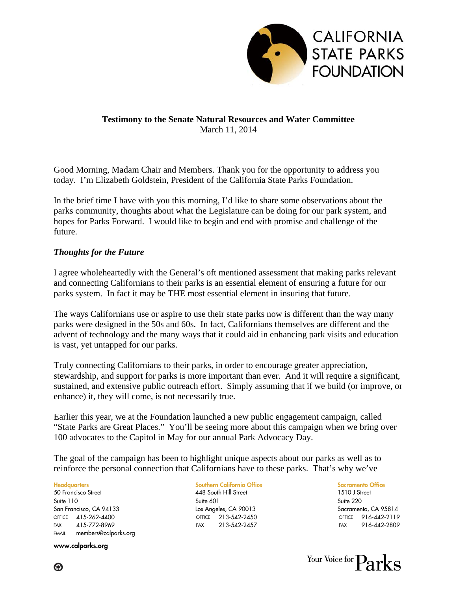

# **Testimony to the Senate Natural Resources and Water Committee**  March 11, 2014

Good Morning, Madam Chair and Members. Thank you for the opportunity to address you today. I'm Elizabeth Goldstein, President of the California State Parks Foundation.

In the brief time I have with you this morning, I'd like to share some observations about the parks community, thoughts about what the Legislature can be doing for our park system, and hopes for Parks Forward. I would like to begin and end with promise and challenge of the future.

## *Thoughts for the Future*

I agree wholeheartedly with the General's oft mentioned assessment that making parks relevant and connecting Californians to their parks is an essential element of ensuring a future for our parks system. In fact it may be THE most essential element in insuring that future.

The ways Californians use or aspire to use their state parks now is different than the way many parks were designed in the 50s and 60s. In fact, Californians themselves are different and the advent of technology and the many ways that it could aid in enhancing park visits and education is vast, yet untapped for our parks.

Truly connecting Californians to their parks, in order to encourage greater appreciation, stewardship, and support for parks is more important than ever. And it will require a significant, sustained, and extensive public outreach effort. Simply assuming that if we build (or improve, or enhance) it, they will come, is not necessarily true.

Earlier this year, we at the Foundation launched a new public engagement campaign, called "State Parks are Great Places." You'll be seeing more about this campaign when we bring over 100 advocates to the Capitol in May for our annual Park Advocacy Day.

The goal of the campaign has been to highlight unique aspects about our parks as well as to reinforce the personal connection that Californians have to these parks. That's why we've

Headquarters Southern California Office Sacramento Office 50 Francisco Street 448 South Hill Street 1510 J Street Suite 110 Suite 601 Suite 220 San Francisco, CA 94133 Los Angeles, CA 90013 Sacramento, CA 95814 OFFICE 415-262-4400 FAX 415-772-8969 EMAIL members@calparks.org

www.calparks.org

OFFICE 213-542-2450 FAX 213-542-2457

OFFICE 916-442-2119 FAX 916-442-2809



⊛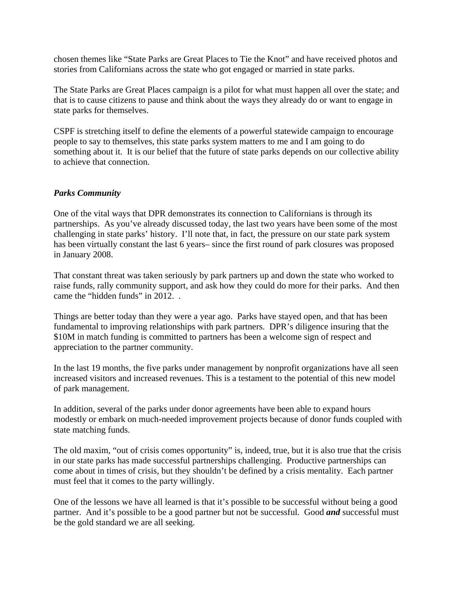chosen themes like "State Parks are Great Places to Tie the Knot" and have received photos and stories from Californians across the state who got engaged or married in state parks.

The State Parks are Great Places campaign is a pilot for what must happen all over the state; and that is to cause citizens to pause and think about the ways they already do or want to engage in state parks for themselves.

CSPF is stretching itself to define the elements of a powerful statewide campaign to encourage people to say to themselves, this state parks system matters to me and I am going to do something about it. It is our belief that the future of state parks depends on our collective ability to achieve that connection.

#### *Parks Community*

One of the vital ways that DPR demonstrates its connection to Californians is through its partnerships. As you've already discussed today, the last two years have been some of the most challenging in state parks' history. I'll note that, in fact, the pressure on our state park system has been virtually constant the last 6 years– since the first round of park closures was proposed in January 2008.

That constant threat was taken seriously by park partners up and down the state who worked to raise funds, rally community support, and ask how they could do more for their parks. And then came the "hidden funds" in 2012. .

Things are better today than they were a year ago. Parks have stayed open, and that has been fundamental to improving relationships with park partners. DPR's diligence insuring that the \$10M in match funding is committed to partners has been a welcome sign of respect and appreciation to the partner community.

In the last 19 months, the five parks under management by nonprofit organizations have all seen increased visitors and increased revenues. This is a testament to the potential of this new model of park management.

In addition, several of the parks under donor agreements have been able to expand hours modestly or embark on much-needed improvement projects because of donor funds coupled with state matching funds.

The old maxim, "out of crisis comes opportunity" is, indeed, true, but it is also true that the crisis in our state parks has made successful partnerships challenging. Productive partnerships can come about in times of crisis, but they shouldn't be defined by a crisis mentality. Each partner must feel that it comes to the party willingly.

One of the lessons we have all learned is that it's possible to be successful without being a good partner. And it's possible to be a good partner but not be successful. Good *and* successful must be the gold standard we are all seeking.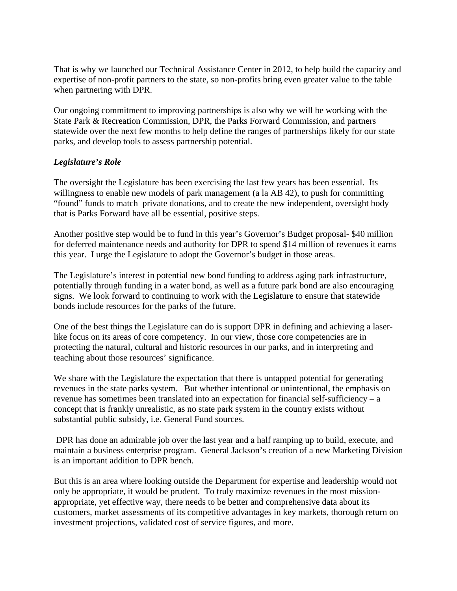That is why we launched our Technical Assistance Center in 2012, to help build the capacity and expertise of non-profit partners to the state, so non-profits bring even greater value to the table when partnering with DPR.

Our ongoing commitment to improving partnerships is also why we will be working with the State Park & Recreation Commission, DPR, the Parks Forward Commission, and partners statewide over the next few months to help define the ranges of partnerships likely for our state parks, and develop tools to assess partnership potential.

# *Legislature's Role*

The oversight the Legislature has been exercising the last few years has been essential. Its willingness to enable new models of park management (a la AB 42), to push for committing "found" funds to match private donations, and to create the new independent, oversight body that is Parks Forward have all be essential, positive steps.

Another positive step would be to fund in this year's Governor's Budget proposal- \$40 million for deferred maintenance needs and authority for DPR to spend \$14 million of revenues it earns this year. I urge the Legislature to adopt the Governor's budget in those areas.

The Legislature's interest in potential new bond funding to address aging park infrastructure, potentially through funding in a water bond, as well as a future park bond are also encouraging signs. We look forward to continuing to work with the Legislature to ensure that statewide bonds include resources for the parks of the future.

One of the best things the Legislature can do is support DPR in defining and achieving a laserlike focus on its areas of core competency. In our view, those core competencies are in protecting the natural, cultural and historic resources in our parks, and in interpreting and teaching about those resources' significance.

We share with the Legislature the expectation that there is untapped potential for generating revenues in the state parks system. But whether intentional or unintentional, the emphasis on revenue has sometimes been translated into an expectation for financial self-sufficiency – a concept that is frankly unrealistic, as no state park system in the country exists without substantial public subsidy, i.e. General Fund sources.

 DPR has done an admirable job over the last year and a half ramping up to build, execute, and maintain a business enterprise program. General Jackson's creation of a new Marketing Division is an important addition to DPR bench.

But this is an area where looking outside the Department for expertise and leadership would not only be appropriate, it would be prudent. To truly maximize revenues in the most missionappropriate, yet effective way, there needs to be better and comprehensive data about its customers, market assessments of its competitive advantages in key markets, thorough return on investment projections, validated cost of service figures, and more.